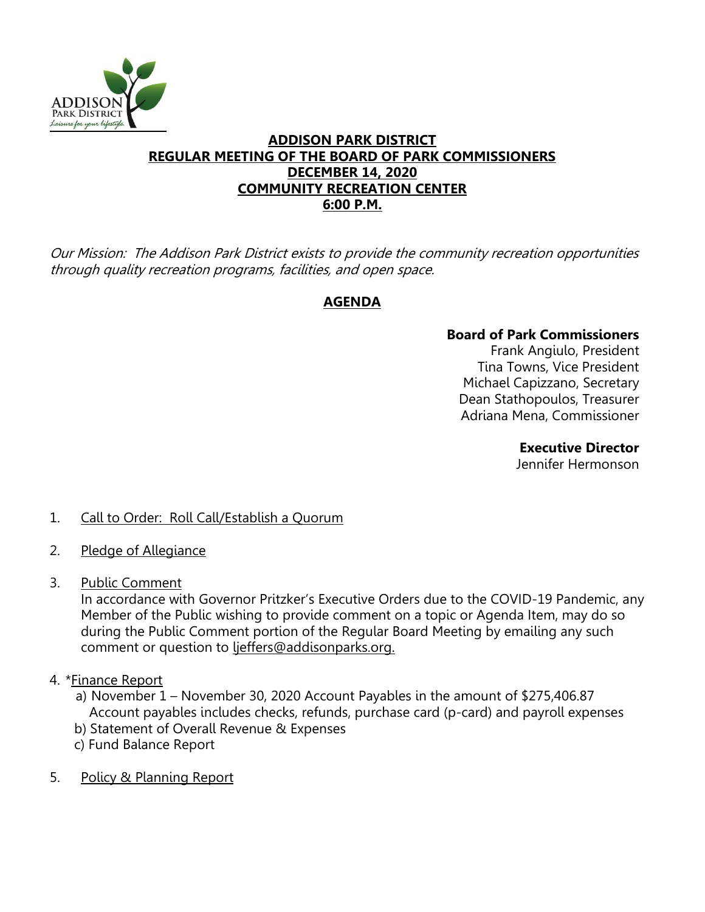

#### **ADDISON PARK DISTRICT REGULAR MEETING OF THE BOARD OF PARK COMMISSIONERS DECEMBER 14, 2020 COMMUNITY RECREATION CENTER 6:00 P.M.**

Our Mission: The Addison Park District exists to provide the community recreation opportunities through quality recreation programs, facilities, and open space.

# **AGENDA**

## **Board of Park Commissioners**

Frank Angiulo, President Tina Towns, Vice President Michael Capizzano, Secretary Dean Stathopoulos, Treasurer Adriana Mena, Commissioner

> **Executive Director**  Jennifer Hermonson

## 1. Call to Order: Roll Call/Establish a Quorum

- 2. Pledge of Allegiance
- 3. Public Comment

In accordance with Governor Pritzker's Executive Orders due to the COVID-19 Pandemic, any Member of the Public wishing to provide comment on a topic or Agenda Item, may do so during the Public Comment portion of the Regular Board Meeting by emailing any such comment or question to ljeffers@addisonparks.org.

- 4. \* Finance Report
	- a) November 1 November 30, 2020 Account Payables in the amount of \$275,406.87 Account payables includes checks, refunds, purchase card (p-card) and payroll expenses
	- b) Statement of Overall Revenue & Expenses
	- c) Fund Balance Report
- 5. Policy & Planning Report